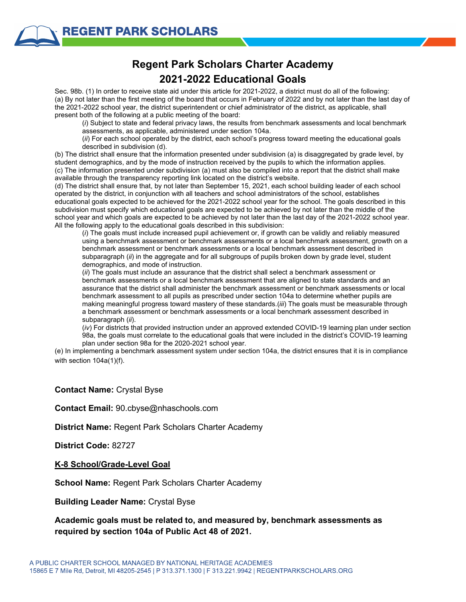# **Regent Park Scholars Charter Academy 2021-2022 Educational Goals**

Sec. 98b. (1) In order to receive state aid under this article for 2021-2022, a district must do all of the following: (a) By not later than the first meeting of the board that occurs in February of 2022 and by not later than the last day of the 2021-2022 school year, the district superintendent or chief administrator of the district, as applicable, shall present both of the following at a public meeting of the board:

(*i*) Subject to state and federal privacy laws, the results from benchmark assessments and local benchmark assessments, as applicable, administered under section 104a.

(*ii*) For each school operated by the district, each school's progress toward meeting the educational goals described in subdivision (d).

(b) The district shall ensure that the information presented under subdivision (a) is disaggregated by grade level, by student demographics, and by the mode of instruction received by the pupils to which the information applies. (c) The information presented under subdivision (a) must also be compiled into a report that the district shall make available through the transparency reporting link located on the district's website.

(d) The district shall ensure that, by not later than September 15, 2021, each school building leader of each school operated by the district, in conjunction with all teachers and school administrators of the school, establishes educational goals expected to be achieved for the 2021-2022 school year for the school. The goals described in this subdivision must specify which educational goals are expected to be achieved by not later than the middle of the school year and which goals are expected to be achieved by not later than the last day of the 2021-2022 school year. All the following apply to the educational goals described in this subdivision:

(*i*) The goals must include increased pupil achievement or, if growth can be validly and reliably measured using a benchmark assessment or benchmark assessments or a local benchmark assessment, growth on a benchmark assessment or benchmark assessments or a local benchmark assessment described in subparagraph (*ii*) in the aggregate and for all subgroups of pupils broken down by grade level, student demographics, and mode of instruction.

(*ii*) The goals must include an assurance that the district shall select a benchmark assessment or benchmark assessments or a local benchmark assessment that are aligned to state standards and an assurance that the district shall administer the benchmark assessment or benchmark assessments or local benchmark assessment to all pupils as prescribed under section 104a to determine whether pupils are making meaningful progress toward mastery of these standards.(*iii*) The goals must be measurable through a benchmark assessment or benchmark assessments or a local benchmark assessment described in subparagraph (*ii*).

(*iv*) For districts that provided instruction under an approved extended COVID-19 learning plan under section 98a, the goals must correlate to the educational goals that were included in the district's COVID-19 learning plan under section 98a for the 2020-2021 school year.

(e) In implementing a benchmark assessment system under section 104a, the district ensures that it is in compliance with section 104a(1)(f).

#### **Contact Name:** Crystal Byse

**Contact Email:** 90.cbyse@nhaschools.com

**District Name:** Regent Park Scholars Charter Academy

**District Code:** 82727

#### **K-8 School/Grade-Level Goal**

**School Name:** Regent Park Scholars Charter Academy

**Building Leader Name:** Crystal Byse

### **Academic goals must be related to, and measured by, benchmark assessments as required by section 104a of Public Act 48 of 2021.**